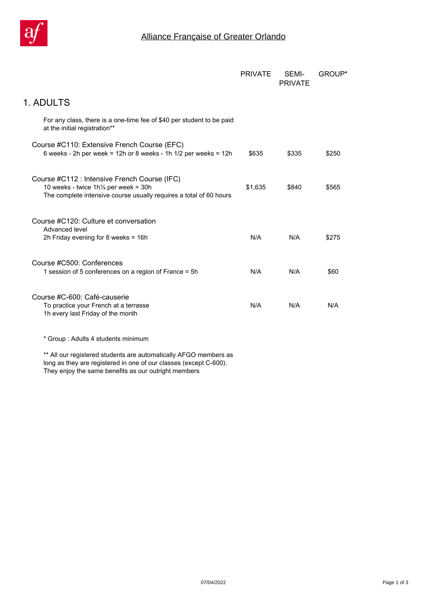

|                                                                                                                                                                       | <b>PRIVATE</b> | SEMI-<br><b>PRIVATE</b> | <b>GROUP</b> * |
|-----------------------------------------------------------------------------------------------------------------------------------------------------------------------|----------------|-------------------------|----------------|
| 1. ADULTS                                                                                                                                                             |                |                         |                |
| For any class, there is a one-time fee of \$40 per student to be paid<br>at the initial registration**                                                                |                |                         |                |
| Course #C110: Extensive French Course (EFC)<br>6 weeks - 2h per week = $12h$ or 8 weeks - 1h $1/2$ per weeks = $12h$                                                  | \$635          | \$335                   | \$250          |
| Course #C112 : Intensive French Course (IFC)<br>10 weeks - twice $1h\frac{1}{2}$ per week = 30h<br>The complete intensive course usually requires a total of 60 hours | \$1,635        | \$840                   | \$565          |
| Course #C120: Culture et conversation<br>Advanced level<br>2h Friday evening for 8 weeks = $16h$                                                                      | N/A            | N/A                     | \$275          |
| Course #C500: Conferences<br>1 session of 5 conferences on a region of France = 5h                                                                                    | N/A            | N/A                     | \$60           |
| Course #C-600: Café-causerie<br>To practice your French at a terrasse<br>1h every last Friday of the month                                                            | N/A            | N/A                     | N/A            |
| * Group: Adults 4 students minimum                                                                                                                                    |                |                         |                |

*\*\* All our registered students are automatically AFGO members as long as they are registered in one of our classes (except C-600). They enjoy the same benefits as our outright members*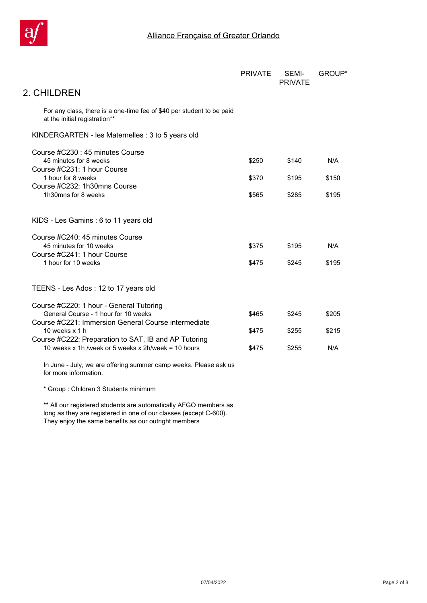

|                                                                                                             | <b>PRIVATE</b> | SEMI-<br><b>PRIVATE</b> | <b>GROUP</b> * |
|-------------------------------------------------------------------------------------------------------------|----------------|-------------------------|----------------|
| 2. CHILDREN                                                                                                 |                |                         |                |
| For any class, there is a one-time fee of \$40 per student to be paid<br>at the initial registration**      |                |                         |                |
| KINDERGARTEN - les Maternelles : 3 to 5 years old                                                           |                |                         |                |
| Course #C230 : 45 minutes Course<br>45 minutes for 8 weeks<br>Course #C231: 1 hour Course                   | \$250          | \$140                   | N/A            |
| 1 hour for 8 weeks                                                                                          | \$370          | \$195                   | \$150          |
| Course #C232: 1h30mns Course<br>1h30mns for 8 weeks                                                         | \$565          | \$285                   | \$195          |
| KIDS - Les Gamins : 6 to 11 years old                                                                       |                |                         |                |
| Course #C240: 45 minutes Course<br>45 minutes for 10 weeks                                                  | \$375          | \$195                   | N/A            |
| Course #C241: 1 hour Course<br>1 hour for 10 weeks                                                          | \$475          | \$245                   | \$195          |
| TEENS - Les Ados : 12 to 17 years old                                                                       |                |                         |                |
| Course #C220: 1 hour - General Tutoring<br>General Course - 1 hour for 10 weeks                             | \$465          | \$245                   | \$205          |
| Course #C221: Immersion General Course intermediate<br>10 weeks $x 1 h$                                     | \$475          | \$255                   | \$215          |
| Course #C222: Preparation to SAT, IB and AP Tutoring<br>10 weeks x 1h /week or 5 weeks x 2h/week = 10 hours | \$475          | \$255                   | N/A            |
| In June - July, we are offering summer camp weeks. Please ask us<br>for more information.                   |                |                         |                |
| * Group: Children 3 Students minimum                                                                        |                |                         |                |
| ** All our registered students are automatically AFGO members as                                            |                |                         |                |

*long as they are registered in one of our classes (except C-600). They enjoy the same benefits as our outright members*